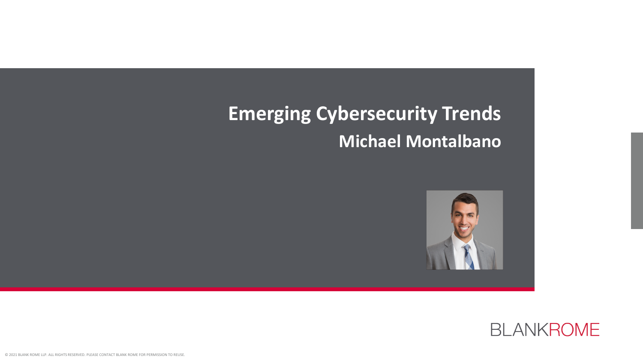# **Emerging Cybersecurity Trends Michael Montalbano**



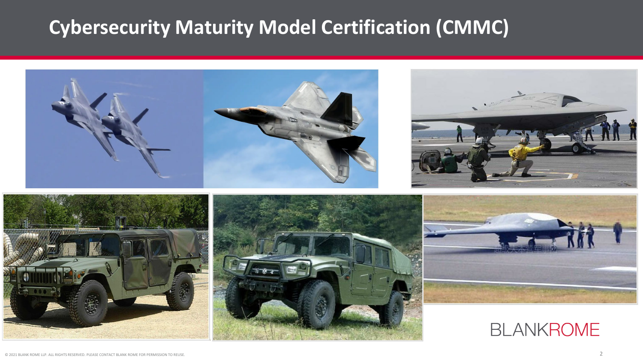# **Cybersecurity Maturity Model Certification (CMMC)**

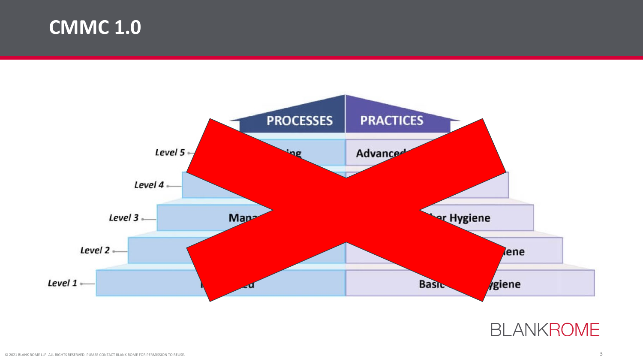### **CMMC 1.0**



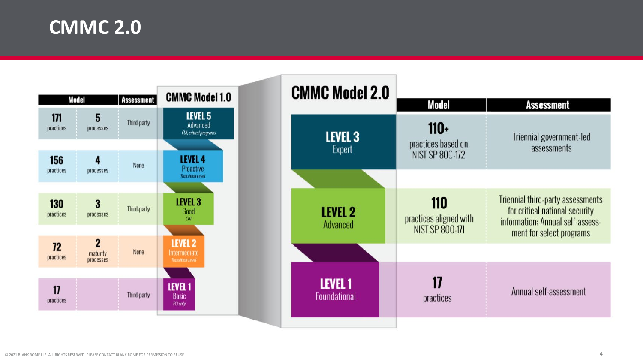**CMMC 2.0**

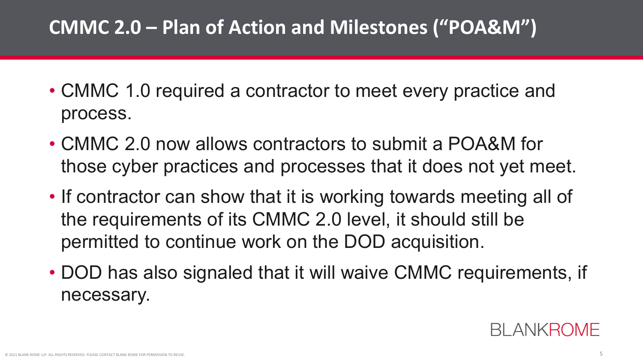# **CMMC 2.0 – Plan of Action and Milestones ("POA&M")**

- CMMC 1.0 required a contractor to meet every practice and process.
- CMMC 2.0 now allows contractors to submit a POA&M for those cyber practices and processes that it does not yet meet.
- If contractor can show that it is working towards meeting all of the requirements of its CMMC 2.0 level, it should still be permitted to continue work on the DOD acquisition.
- DOD has also signaled that it will waive CMMC requirements, if necessary.

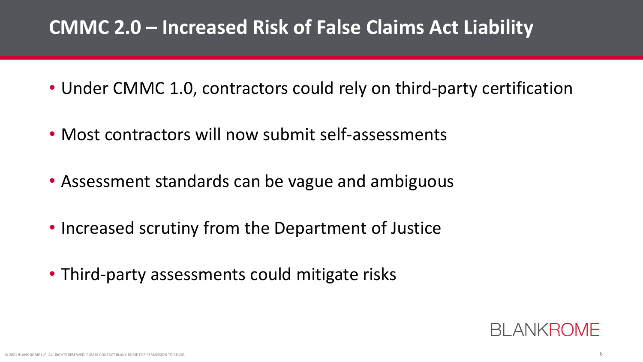# **CMMC 2.0 – Increased Risk of False Claims Act Liability**

- Under CMMC 1.0, contractors could rely on third-party certification
- Most contractors will now submit self-assessments
- Assessment standards can be vague and ambiguous
- Increased scrutiny from the Department of Justice
- Third-party assessments could mitigate risks

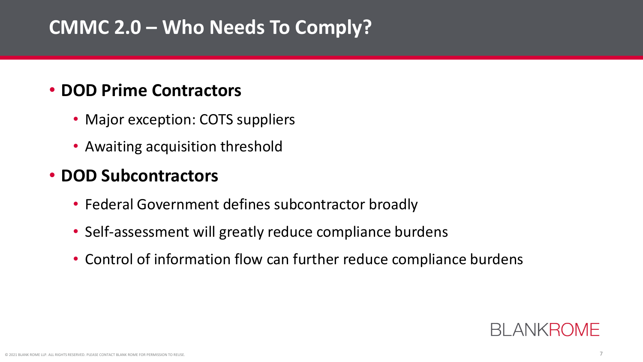# **CMMC 2.0 – Who Needs To Comply?**

#### • **DOD Prime Contractors**

- Major exception: COTS suppliers
- Awaiting acquisition threshold

#### • **DOD Subcontractors**

- Federal Government defines subcontractor broadly
- Self-assessment will greatly reduce compliance burdens
- Control of information flow can further reduce compliance burdens

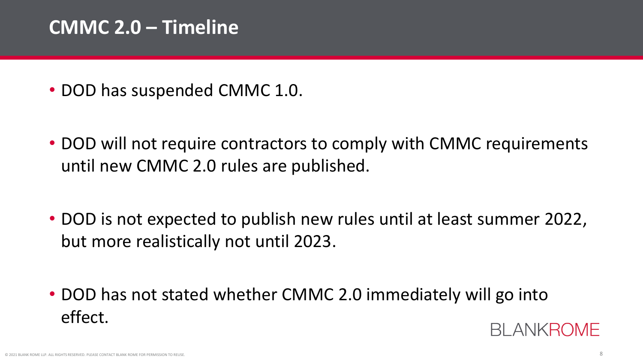### **CMMC 2.0 – Timeline**

- DOD has suspended CMMC 1.0.
- DOD will not require contractors to comply with CMMC requirements until new CMMC 2.0 rules are published.
- DOD is not expected to publish new rules until at least summer 2022, but more realistically not until 2023.
- DOD has not stated whether CMMC 2.0 immediately will go into effect. **BI ANKROMF**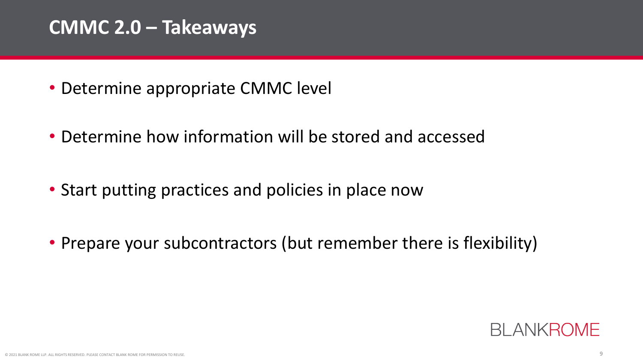### **CMMC 2.0 – Takeaways**

- Determine appropriate CMMC level
- Determine how information will be stored and accessed
- Start putting practices and policies in place now
- Prepare your subcontractors (but remember there is flexibility)

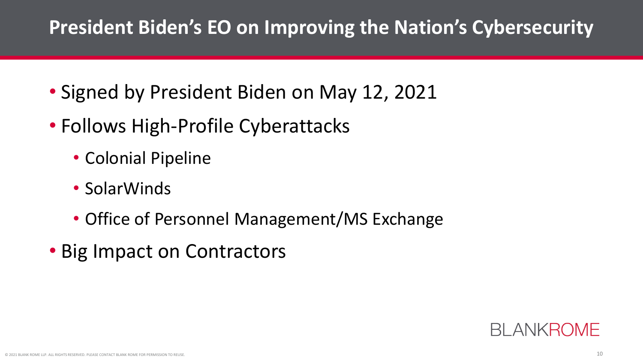# **President Biden's EO on Improving the Nation's Cybersecurity**

- Signed by President Biden on May 12, 2021
- Follows High-Profile Cyberattacks
	- Colonial Pipeline
	- SolarWinds
	- Office of Personnel Management/MS Exchange
- Big Impact on Contractors

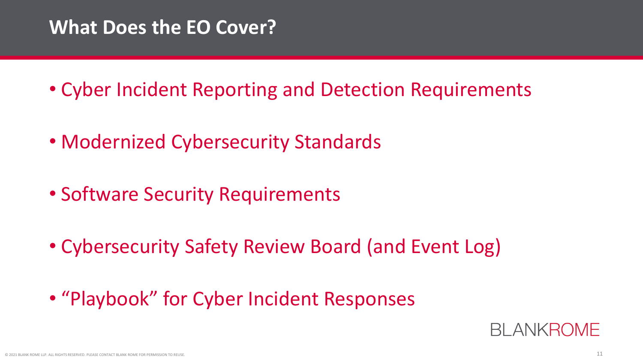### **What Does the EO Cover?**

- Cyber Incident Reporting and Detection Requirements
- Modernized Cybersecurity Standards
- Software Security Requirements
- Cybersecurity Safety Review Board (and Event Log)
- "Playbook" for Cyber Incident Responses